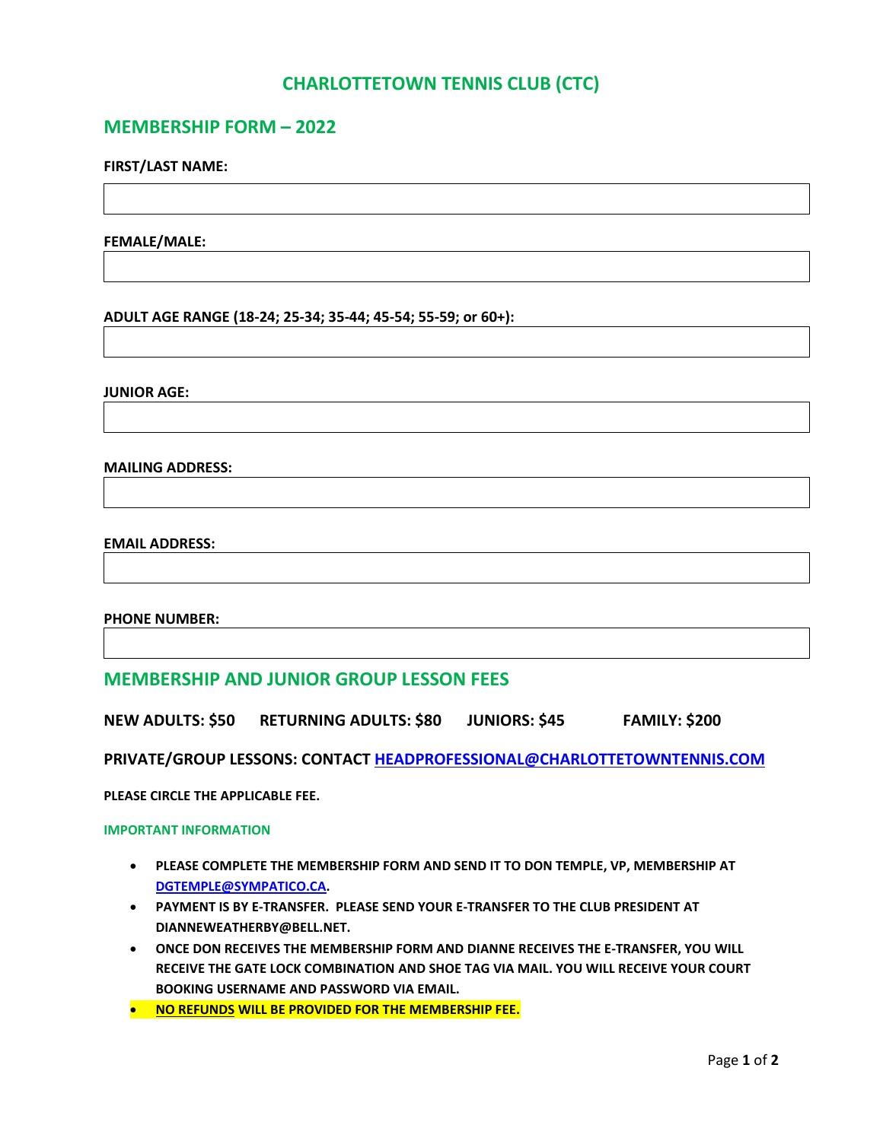## **CHARLOTTETOWN TENNIS CLUB (CTC)**

## **MEMBERSHIP FORM – 2022**

### **FIRST/LAST NAME:**

**FEMALE/MALE:**

**ADULT AGE RANGE (18-24; 25-34; 35-44; 45-54; 55-59; or 60+):**

**JUNIOR AGE:**

**MAILING ADDRESS:**

#### **EMAIL ADDRESS:**

#### **PHONE NUMBER:**

## **MEMBERSHIP AND JUNIOR GROUP LESSON FEES**

**NEW ADULTS: \$50 RETURNING ADULTS: \$80 JUNIORS: \$45 FAMILY: \$200**

**PRIVATE/GROUP LESSONS: CONTAC[T HEADPROFESSIONAL@CHARLOTTETOWNTENNIS.COM](mailto:HEADPROFESSIONAL@CHARLOTTETOWNTENNIS.COM)**

**PLEASE CIRCLE THE APPLICABLE FEE.**

**IMPORTANT INFORMATION**

- **PLEASE COMPLETE THE MEMBERSHIP FORM AND SEND IT TO DON TEMPLE, VP, MEMBERSHIP AT [DGTEMPLE@SYMPATICO.CA.](mailto:DGTEMPLE@SYMPATICO.CA)**
- **PAYMENT IS BY E-TRANSFER. PLEASE SEND YOUR E-TRANSFER TO THE CLUB PRESIDENT AT DIANNEWEATHERBY@BELL.NET.**
- **ONCE DON RECEIVES THE MEMBERSHIP FORM AND DIANNE RECEIVES THE E-TRANSFER, YOU WILL RECEIVE THE GATE LOCK COMBINATION AND SHOE TAG VIA MAIL. YOU WILL RECEIVE YOUR COURT BOOKING USERNAME AND PASSWORD VIA EMAIL.**
- **NO REFUNDS WILL BE PROVIDED FOR THE MEMBERSHIP FEE.**